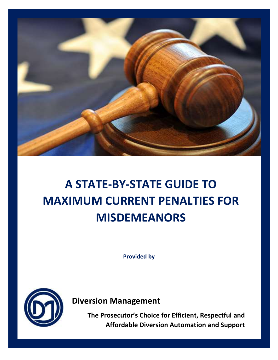

## **A STATE-BY-STATE GUIDE TO MAXIMUM CURRENT PENALTIES FOR MISDEMEANORS**

**Provided by**



**Diversion Management** 

**The Prosecutor's Choice for Efficient, Respectful and Affordable Diversion Automation and Support**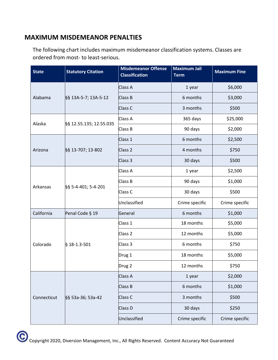## **MAXIMUM MISDEMEANOR PENALTIES**

The following chart includes maximum misdemeanor classification systems. Classes are ordered from most- to least-serious.

| <b>State</b> | <b>Statutory Citation</b> | <b>Misdemeanor Offense</b><br><b>Classification</b> | <b>Maximum Jail</b><br><b>Term</b> | <b>Maximum Fine</b> |
|--------------|---------------------------|-----------------------------------------------------|------------------------------------|---------------------|
| Alabama      | §§ 13A-5-7; 13A-5-12      | Class A                                             | 1 year                             | \$6,000             |
|              |                           | Class B                                             | 6 months                           | \$3,000             |
|              |                           | Class <sub>C</sub>                                  | 3 months                           | \$500               |
|              | §§ 12.55.135; 12.55.035   | Class A                                             | 365 days                           | \$25,000            |
| Alaska       |                           | Class B                                             | 90 days                            | \$2,000             |
|              | §§ 13-707; 13-802         | Class 1                                             | 6 months                           | \$2,500             |
| Arizona      |                           | Class <sub>2</sub>                                  | 4 months                           | \$750               |
|              |                           | Class 3                                             | 30 days                            | \$500               |
|              | §§ 5-4-401; 5-4-201       | Class A                                             | 1 year                             | \$2,500             |
| Arkansas     |                           | Class B                                             | 90 days                            | \$1,000             |
|              |                           | Class <sub>C</sub>                                  | 30 days                            | \$500               |
|              |                           | Unclassified                                        | Crime specific                     | Crime specific      |
| California   | Penal Code § 19           | General                                             | 6 months                           | \$1,000             |
| Colorado     | § 18-1.3-501              | Class 1                                             | 18 months                          | \$5,000             |
|              |                           | Class <sub>2</sub>                                  | 12 months                          | \$5,000             |
|              |                           | Class 3                                             | 6 months                           | \$750               |
|              |                           | Drug 1                                              | 18 months                          | \$5,000             |
|              |                           | Drug 2                                              | 12 months                          | \$750               |
|              | §§ 53a-36; 53a-42         | Class A                                             | 1 year                             | \$2,000             |
| Connecticut  |                           | Class B                                             | 6 months                           | \$1,000             |
|              |                           | Class <sub>C</sub>                                  | 3 months                           | \$500               |
|              |                           | Class D                                             | 30 days                            | \$250               |
|              |                           | Unclassified                                        | Crime specific                     | Crime specific      |

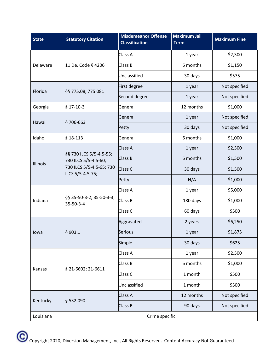| <b>State</b> | <b>Statutory Citation</b>                                                                       | <b>Misdemeanor Offense</b><br><b>Classification</b> | <b>Maximum Jail</b><br><b>Term</b> | <b>Maximum Fine</b> |
|--------------|-------------------------------------------------------------------------------------------------|-----------------------------------------------------|------------------------------------|---------------------|
| Delaware     | 11 De. Code § 4206                                                                              | Class A                                             | 1 year                             | \$2,300             |
|              |                                                                                                 | Class B                                             | 6 months                           | \$1,150             |
|              |                                                                                                 | Unclassified                                        | 30 days                            | \$575               |
| Florida      | §§ 775.08; 775.081                                                                              | First degree                                        | 1 year                             | Not specified       |
|              |                                                                                                 | Second degree                                       | 1 year                             | Not specified       |
| Georgia      | $§$ 17-10-3                                                                                     | General                                             | 12 months                          | \$1,000             |
| Hawaii       | §706-663                                                                                        | General                                             | 1 year                             | Not specified       |
|              |                                                                                                 | Petty                                               | 30 days                            | Not specified       |
| Idaho        | $§$ 18-113                                                                                      | General                                             | 6 months                           | \$1,000             |
|              | §§ 730 ILCS 5/5-4.5-55;<br>730 ILCS 5/5-4.5-60;<br>730 ILCS 5/5-4.5-65; 730<br>ILCS 5/5-4.5-75; | Class A                                             | 1 year                             | \$2,500             |
| Illinois     |                                                                                                 | Class B                                             | 6 months                           | \$1,500             |
|              |                                                                                                 | Class C                                             | 30 days                            | \$1,500             |
|              |                                                                                                 | Petty                                               | N/A                                | \$1,000             |
|              | §§ 35-50-3-2; 35-50-3-3;<br>35-50-3-4                                                           | Class A                                             | 1 year                             | \$5,000             |
| Indiana      |                                                                                                 | Class B                                             | 180 days                           | \$1,000             |
|              |                                                                                                 | Class <sub>C</sub>                                  | 60 days                            | \$500               |
|              | § 903.1                                                                                         | Aggravated                                          | 2 years                            | \$6,250             |
| lowa         |                                                                                                 | Serious                                             | 1 year                             | \$1,875             |
|              |                                                                                                 | Simple                                              | 30 days                            | \$625               |
|              | § 21-6602; 21-6611                                                                              | Class A                                             | 1 year                             | \$2,500             |
|              |                                                                                                 | Class B                                             | 6 months                           | \$1,000             |
| Kansas       |                                                                                                 | Class <sub>C</sub>                                  | 1 month                            | \$500               |
|              |                                                                                                 | Unclassified                                        | 1 month                            | \$500               |
|              | § 532.090                                                                                       | Class A                                             | 12 months                          | Not specified       |
| Kentucky     |                                                                                                 | Class B                                             | 90 days                            | Not specified       |
| Louisiana    | Crime specific                                                                                  |                                                     |                                    |                     |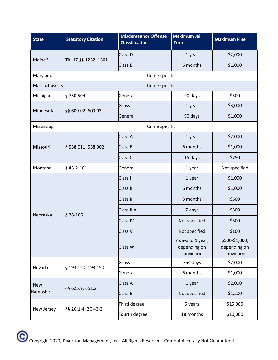| <b>State</b>            | <b>Statutory Citation</b> | <b>Misdemeanor Offense</b><br><b>Classification</b> | <b>Maximum Jail</b><br><b>Term</b>              | <b>Maximum Fine</b>                          |
|-------------------------|---------------------------|-----------------------------------------------------|-------------------------------------------------|----------------------------------------------|
| Maine*                  | Tit. 17 §§ 1252; 1301     | Class D                                             | 1 year                                          | \$2,000                                      |
|                         |                           | Class E                                             | 6 months                                        | \$1,000                                      |
| Maryland                | Crime specific            |                                                     |                                                 |                                              |
| Massachusetts           | Crime specific            |                                                     |                                                 |                                              |
| Michigan                | §750.504                  | General                                             | 90 days                                         | \$500                                        |
| Minnesota               | §§ 609.02; 609.03         | Gross                                               | 1 year                                          | \$3,000                                      |
|                         |                           | General                                             | 90 days                                         | \$1,000                                      |
| Mississippi             |                           | Crime specific                                      |                                                 |                                              |
|                         | § 558.011; 558.002        | Class A                                             | 1 year                                          | \$2,000                                      |
| Missouri                |                           | Class B                                             | 6 months                                        | \$1,000                                      |
|                         |                           | Class <sub>C</sub>                                  | 15 days                                         | \$750                                        |
| Montana                 | $§$ 45-2-101              | General                                             | 1 year                                          | Not specified                                |
|                         | $§$ 28-106                | Class I                                             | 1 year                                          | \$1,000                                      |
|                         |                           | Class II                                            | 6 months                                        | \$1,000                                      |
| Nebraska                |                           | <b>Class III</b>                                    | 3 months                                        | \$500                                        |
|                         |                           | Class IIIA                                          | 7 days                                          | \$500                                        |
|                         |                           | <b>Class IV</b>                                     | Not specified                                   | \$500                                        |
|                         |                           | Class V                                             | Not specified                                   | \$100                                        |
|                         |                           | Class W                                             | 7 days to 1 year,<br>depending on<br>conviction | \$500-\$1,000,<br>depending on<br>conviction |
|                         | § 193.140; 193.150        | Gross                                               | 364 days                                        | \$2,000                                      |
| Nevada                  |                           | General                                             | 6 months                                        | \$1,000                                      |
| <b>New</b><br>Hampshire | §§ 625:9; 651:2           | Class A                                             | 1 year                                          | \$2,000                                      |
|                         |                           | Class B                                             | Not specified                                   | \$1,200                                      |
|                         | §§ 2C:1-4; 2C:43-3        | Third degree                                        | 5 years                                         | \$15,000                                     |
| New Jersey              |                           | Fourth degree                                       | 18 months                                       | \$10,000                                     |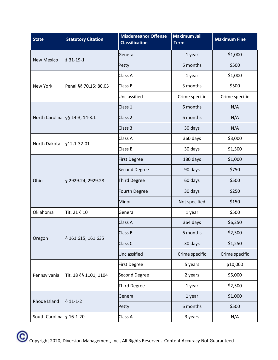| <b>State</b>                     | <b>Statutory Citation</b> | <b>Misdemeanor Offense</b><br><b>Classification</b> | <b>Maximum Jail</b><br><b>Term</b> | <b>Maximum Fine</b> |
|----------------------------------|---------------------------|-----------------------------------------------------|------------------------------------|---------------------|
| <b>New Mexico</b>                | § 31-19-1                 | General                                             | 1 year                             | \$1,000             |
|                                  |                           | Petty                                               | 6 months                           | \$500               |
| New York                         | Penal §§ 70.15; 80.05     | Class A                                             | 1 year                             | \$1,000             |
|                                  |                           | Class B                                             | 3 months                           | \$500               |
|                                  |                           | Unclassified                                        | Crime specific                     | Crime specific      |
|                                  |                           | Class 1                                             | 6 months                           | N/A                 |
| North Carolina §§ 14-3; 14-3.1   |                           | Class <sub>2</sub>                                  | 6 months                           | N/A                 |
|                                  |                           | Class 3                                             | 30 days                            | N/A                 |
| North Dakota                     | §12.1-32-01               | Class A                                             | 360 days                           | \$3,000             |
|                                  |                           | Class B                                             | 30 days                            | \$1,500             |
|                                  | § 2929.24; 2929.28        | <b>First Degree</b>                                 | 180 days                           | \$1,000             |
|                                  |                           | Second Degree                                       | 90 days                            | \$750               |
| Ohio                             |                           | Third Degree                                        | 60 days                            | \$500               |
|                                  |                           | Fourth Degree                                       | 30 days                            | \$250               |
|                                  |                           | Minor                                               | Not specified                      | \$150               |
| Oklahoma                         | Tit. 21 § 10              | General                                             | 1 year                             | \$500               |
| Oregon                           | § 161.615; 161.635        | Class A                                             | 364 days                           | \$6,250             |
|                                  |                           | Class B                                             | 6 months                           | \$2,500             |
|                                  |                           | Class C                                             | 30 days                            | \$1,250             |
|                                  |                           | Unclassified                                        | Crime specific                     | Crime specific      |
|                                  | Tit. 18 §§ 1101; 1104     | <b>First Degree</b>                                 | 5 years                            | \$10,000            |
| Pennsylvania                     |                           | Second Degree                                       | 2 years                            | \$5,000             |
|                                  |                           | Third Degree                                        | 1 year                             | \$2,500             |
|                                  | $$11-1-2$                 | General                                             | 1 year                             | \$1,000             |
| Rhode Island                     |                           | Petty                                               | 6 months                           | \$500               |
| South Carolina $\vert$ § 16-1-20 |                           | Class A                                             | 3 years                            | N/A                 |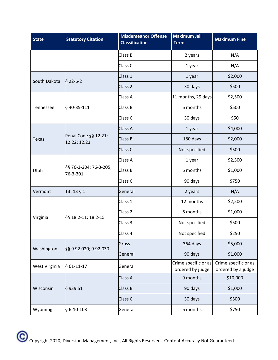| <b>State</b>  | <b>Statutory Citation</b>            | <b>Misdemeanor Offense</b><br><b>Classification</b> | <b>Maximum Jail</b><br><b>Term</b>       | <b>Maximum Fine</b>                        |
|---------------|--------------------------------------|-----------------------------------------------------|------------------------------------------|--------------------------------------------|
|               |                                      | Class B                                             | 2 years                                  | N/A                                        |
|               |                                      | Class C                                             | 1 year                                   | N/A                                        |
| South Dakota  | $$22-6-2$                            | Class 1                                             | 1 year                                   | \$2,000                                    |
|               |                                      | Class <sub>2</sub>                                  | 30 days                                  | \$500                                      |
|               | §40-35-111                           | Class A                                             | 11 months, 29 days                       | \$2,500                                    |
| Tennessee     |                                      | Class B                                             | 6 months                                 | \$500                                      |
|               |                                      | Class <sub>C</sub>                                  | 30 days                                  | \$50                                       |
|               | Penal Code §§ 12.21;<br>12.22; 12.23 | Class A                                             | 1 year                                   | \$4,000                                    |
| <b>Texas</b>  |                                      | Class B                                             | 180 days                                 | \$2,000                                    |
|               |                                      | Class <sub>C</sub>                                  | Not specified                            | \$500                                      |
|               | §§ 76-3-204; 76-3-205;<br>76-3-301   | Class A                                             | 1 year                                   | \$2,500                                    |
| Utah          |                                      | Class B                                             | 6 months                                 | \$1,000                                    |
|               |                                      | Class C                                             | 90 days                                  | \$750                                      |
| Vermont       | Tit. 13 § 1                          | General                                             | 2 years                                  | N/A                                        |
| Virginia      | §§ 18.2-11; 18.2-15                  | Class 1                                             | 12 months                                | \$2,500                                    |
|               |                                      | Class <sub>2</sub>                                  | 6 months                                 | \$1,000                                    |
|               |                                      | Class 3                                             | Not specified                            | \$500                                      |
|               |                                      | Class 4                                             | Not specified                            | \$250                                      |
| Washington    | §§ 9.92.020; 9.92.030                | Gross                                               | 364 days                                 | \$5,000                                    |
|               |                                      | General                                             | 90 days                                  | \$1,000                                    |
| West Virginia | $§ 61-11-17$                         | General                                             | Crime specific or as<br>ordered by judge | Crime specific or as<br>ordered by a judge |
| Wisconsin     | §939.51                              | Class A                                             | 9 months                                 | \$10,000                                   |
|               |                                      | Class B                                             | 90 days                                  | \$1,000                                    |
|               |                                      | Class <sub>C</sub>                                  | 30 days                                  | \$500                                      |
| Wyoming       | $$6-10-103$                          | General                                             | 6 months                                 | \$750                                      |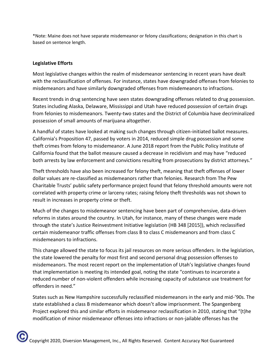\*Note: Maine does not have separate misdemeanor or felony classifications; designation in this chart is based on sentence length.

## **Legislative Efforts**

Most legislative changes within the realm of misdemeanor sentencing in recent years have dealt with the reclassification of offenses. For instance, states have downgraded offenses from felonies to misdemeanors and have similarly downgraded offenses from misdemeanors to infractions.

Recent [trends in drug sentencing](https://www.ncsl.org/research/civil-and-criminal-justice/drug-sentencing-trends.aspx) have seen states downgrading offenses related to drug possession. States including Alaska, Delaware, Mississippi and Utah have reduced possession of certain drugs from felonies to misdemeanors. Twenty-two states and the District of Columbia have [decriminalized](https://www.ncsl.org/research/civil-and-criminal-justice/marijuana-overview.aspx) possession of small amounts of marijuana altogether.

A handful of states have looked at making such changes through citizen-initiated ballot measures. California's Proposition 47, passed by voters in 2014, reduced simple drug possession and some theft crimes from felony to misdemeanor. A [June 2018 report](https://www.ppic.org/wp-content/uploads/r_0618mbr.pdf) from the Public Policy Institute of California found that the ballot measure caused a decrease in recidivism and may have "reduced both arrests by law enforcement and convictions resulting from prosecutions by district attorneys."

[Theft thresholds](https://www.ncsl.org/documents/cj/sentencing.pdf) have also been increased for felony theft, meaning that theft offenses of lower dollar values are re-classified as misdemeanors rather than felonies. [Research from](https://www.pewtrusts.org/en/research-and-analysis/articles/2018/05/22/states-can-safely-raise-their-felony-theft-thresholds-research-shows) The Pew Charitable Trusts' public safety performance project found that felony threshold amounts were not correlated with property crime or larceny rates; raising felony theft thresholds was not shown to result in increases in property crime or theft.

Much of the changes to misdemeanor sentencing have been part of comprehensive, data-driven reforms in states around the country. In Utah, for instance, many of these changes were made through the state's Justice Reinvestment Initiative legislation ([HB 348 \[2015\]\)](https://justice.utah.gov/JRI/Documents/Justice%20Reinvestment%20Initiative/HB348%20Summary%20Final.pdf), which reclassified certain misdemeanor traffic offenses from class B to class C misdemeanors and from class C misdemeanors to infractions.

This change allowed the state to focus its jail resources on more serious offenders. In the legislation, the state lowered the penalty for most first and second personal drug possession offenses to misdemeanors. Th[e most recent report](https://justice.utah.gov/JRI/Documents/Justice%20Reinvestment%20Initiative/JRI_2018_Annual_Report.html) on the implementation of Utah's legislative changes found that implementation is meeting its intended goal, noting the state "continues to incarcerate a reduced number of non-violent offenders while increasing capacity of substance use treatment for offenders in need."

States such as New Hampshire successfully reclassified misdemeanors in the early and mid-'90s. The state established a class B misdemeanor which doesn't allow imprisonment. [The Spangenberg](https://www.americanbar.org/content/dam/aba/administrative/legal_aid_indigent_defendants/ls_sclaid_def_aba_tsp_reclassification_report.authcheckdam.pdf)  [Project explored](https://www.americanbar.org/content/dam/aba/administrative/legal_aid_indigent_defendants/ls_sclaid_def_aba_tsp_reclassification_report.authcheckdam.pdf) this and similar efforts in misdemeanor reclassification in 2010, stating that "(t)he modification of minor misdemeanor offenses into infractions or non-jailable offenses has the